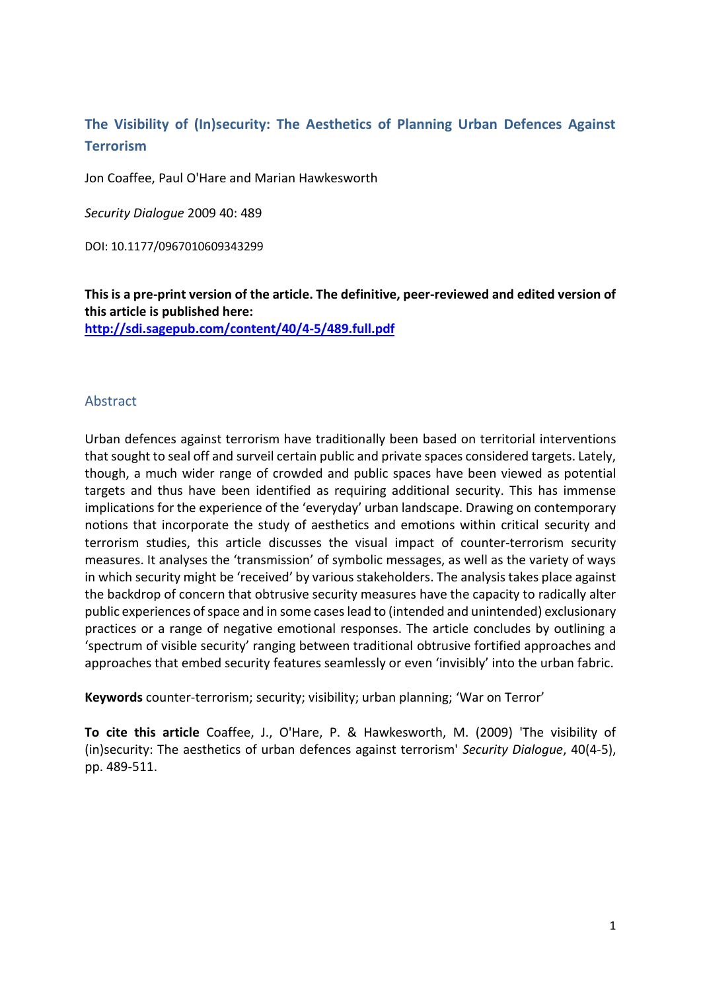# **The Visibility of (In)security: The Aesthetics of Planning Urban Defences Against Terrorism**

Jon Coaffee, Paul O'Hare and Marian Hawkesworth

*Security Dialogue* 2009 40: 489

DOI: 10.1177/0967010609343299

**This is a pre-print version of the article. The definitive, peer-reviewed and edited version of this article is published here:** 

**<http://sdi.sagepub.com/content/40/4-5/489.full.pdf>**

### Abstract

Urban defences against terrorism have traditionally been based on territorial interventions that sought to seal off and surveil certain public and private spaces considered targets. Lately, though, a much wider range of crowded and public spaces have been viewed as potential targets and thus have been identified as requiring additional security. This has immense implications for the experience of the 'everyday' urban landscape. Drawing on contemporary notions that incorporate the study of aesthetics and emotions within critical security and terrorism studies, this article discusses the visual impact of counter-terrorism security measures. It analyses the 'transmission' of symbolic messages, as well as the variety of ways in which security might be 'received' by various stakeholders. The analysis takes place against the backdrop of concern that obtrusive security measures have the capacity to radically alter public experiences of space and in some cases lead to (intended and unintended) exclusionary practices or a range of negative emotional responses. The article concludes by outlining a 'spectrum of visible security' ranging between traditional obtrusive fortified approaches and approaches that embed security features seamlessly or even 'invisibly' into the urban fabric.

**Keywords** counter-terrorism; security; visibility; urban planning; 'War on Terror'

**To cite this article** Coaffee, J., O'Hare, P. & Hawkesworth, M. (2009) 'The visibility of (in)security: The aesthetics of urban defences against terrorism' *Security Dialogue*, 40(4-5), pp. 489-511.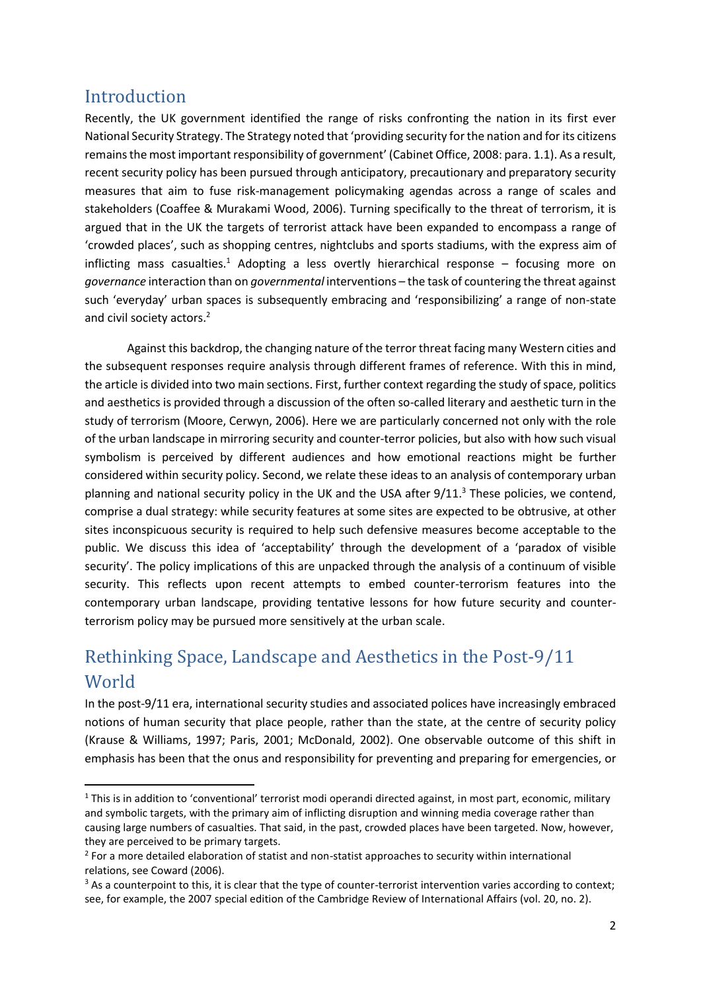# Introduction

**.** 

Recently, the UK government identified the range of risks confronting the nation in its first ever National Security Strategy. The Strategy noted that 'providing security for the nation and for its citizens remains the most important responsibility of government' (Cabinet Office, 2008: para. 1.1). As a result, recent security policy has been pursued through anticipatory, precautionary and preparatory security measures that aim to fuse risk-management policymaking agendas across a range of scales and stakeholders (Coaffee & Murakami Wood, 2006). Turning specifically to the threat of terrorism, it is argued that in the UK the targets of terrorist attack have been expanded to encompass a range of 'crowded places', such as shopping centres, nightclubs and sports stadiums, with the express aim of inflicting mass casualties.<sup>1</sup> Adopting a less overtly hierarchical response  $-$  focusing more on *governance* interaction than on *governmental* interventions – the task of countering the threat against such 'everyday' urban spaces is subsequently embracing and 'responsibilizing' a range of non-state and civil society actors.<sup>2</sup>

Against this backdrop, the changing nature of the terror threat facing many Western cities and the subsequent responses require analysis through different frames of reference. With this in mind, the article is divided into two main sections. First, further context regarding the study of space, politics and aesthetics is provided through a discussion of the often so-called literary and aesthetic turn in the study of terrorism (Moore, Cerwyn, 2006). Here we are particularly concerned not only with the role of the urban landscape in mirroring security and counter-terror policies, but also with how such visual symbolism is perceived by different audiences and how emotional reactions might be further considered within security policy. Second, we relate these ideas to an analysis of contemporary urban planning and national security policy in the UK and the USA after  $9/11$ .<sup>3</sup> These policies, we contend, comprise a dual strategy: while security features at some sites are expected to be obtrusive, at other sites inconspicuous security is required to help such defensive measures become acceptable to the public. We discuss this idea of 'acceptability' through the development of a 'paradox of visible security'. The policy implications of this are unpacked through the analysis of a continuum of visible security. This reflects upon recent attempts to embed counter-terrorism features into the contemporary urban landscape, providing tentative lessons for how future security and counterterrorism policy may be pursued more sensitively at the urban scale.

# Rethinking Space, Landscape and Aesthetics in the Post-9/11 World

In the post-9/11 era, international security studies and associated polices have increasingly embraced notions of human security that place people, rather than the state, at the centre of security policy (Krause & Williams, 1997; Paris, 2001; McDonald, 2002). One observable outcome of this shift in emphasis has been that the onus and responsibility for preventing and preparing for emergencies, or

 $1$  This is in addition to 'conventional' terrorist modi operandi directed against, in most part, economic, military and symbolic targets, with the primary aim of inflicting disruption and winning media coverage rather than causing large numbers of casualties. That said, in the past, crowded places have been targeted. Now, however, they are perceived to be primary targets.

<sup>&</sup>lt;sup>2</sup> For a more detailed elaboration of statist and non-statist approaches to security within international relations, see Coward (2006).

 $3$  As a counterpoint to this, it is clear that the type of counter-terrorist intervention varies according to context; see, for example, the 2007 special edition of the Cambridge Review of International Affairs (vol. 20, no. 2).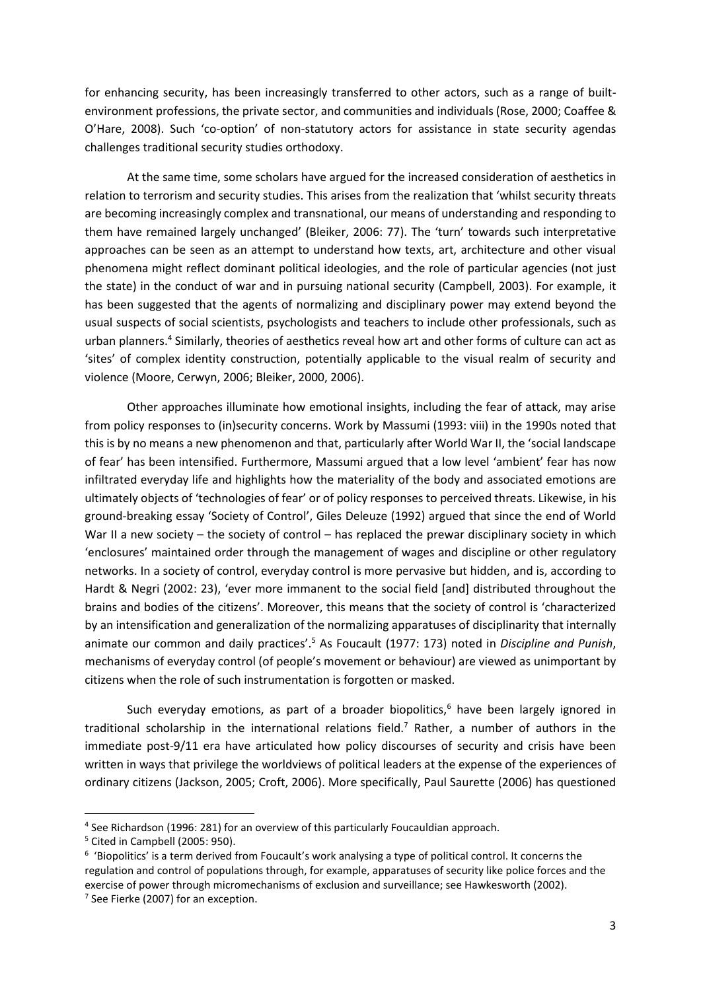for enhancing security, has been increasingly transferred to other actors, such as a range of builtenvironment professions, the private sector, and communities and individuals (Rose, 2000; Coaffee & O'Hare, 2008). Such 'co-option' of non-statutory actors for assistance in state security agendas challenges traditional security studies orthodoxy.

At the same time, some scholars have argued for the increased consideration of aesthetics in relation to terrorism and security studies. This arises from the realization that 'whilst security threats are becoming increasingly complex and transnational, our means of understanding and responding to them have remained largely unchanged' (Bleiker, 2006: 77). The 'turn' towards such interpretative approaches can be seen as an attempt to understand how texts, art, architecture and other visual phenomena might reflect dominant political ideologies, and the role of particular agencies (not just the state) in the conduct of war and in pursuing national security (Campbell, 2003). For example, it has been suggested that the agents of normalizing and disciplinary power may extend beyond the usual suspects of social scientists, psychologists and teachers to include other professionals, such as urban planners.<sup>4</sup> Similarly, theories of aesthetics reveal how art and other forms of culture can act as 'sites' of complex identity construction, potentially applicable to the visual realm of security and violence (Moore, Cerwyn, 2006; Bleiker, 2000, 2006).

Other approaches illuminate how emotional insights, including the fear of attack, may arise from policy responses to (in)security concerns. Work by Massumi (1993: viii) in the 1990s noted that this is by no means a new phenomenon and that, particularly after World War II, the 'social landscape of fear' has been intensified. Furthermore, Massumi argued that a low level 'ambient' fear has now infiltrated everyday life and highlights how the materiality of the body and associated emotions are ultimately objects of 'technologies of fear' or of policy responses to perceived threats. Likewise, in his ground-breaking essay 'Society of Control', Giles Deleuze (1992) argued that since the end of World War II a new society – the society of control – has replaced the prewar disciplinary society in which 'enclosures' maintained order through the management of wages and discipline or other regulatory networks. In a society of control, everyday control is more pervasive but hidden, and is, according to Hardt & Negri (2002: 23), 'ever more immanent to the social field [and] distributed throughout the brains and bodies of the citizens'. Moreover, this means that the society of control is 'characterized by an intensification and generalization of the normalizing apparatuses of disciplinarity that internally animate our common and daily practices'.<sup>5</sup> As Foucault (1977: 173) noted in *Discipline and Punish*, mechanisms of everyday control (of people's movement or behaviour) are viewed as unimportant by citizens when the role of such instrumentation is forgotten or masked.

Such everyday emotions, as part of a broader biopolitics, $<sup>6</sup>$  have been largely ignored in</sup> traditional scholarship in the international relations field.<sup>7</sup> Rather, a number of authors in the immediate post-9/11 era have articulated how policy discourses of security and crisis have been written in ways that privilege the worldviews of political leaders at the expense of the experiences of ordinary citizens (Jackson, 2005; Croft, 2006). More specifically, Paul Saurette (2006) has questioned

<sup>&</sup>lt;sup>4</sup> See Richardson (1996: 281) for an overview of this particularly Foucauldian approach.

 $5$  Cited in Campbell (2005: 950).

<sup>&</sup>lt;sup>6</sup> 'Biopolitics' is a term derived from Foucault's work analysing a type of political control. It concerns the regulation and control of populations through, for example, apparatuses of security like police forces and the exercise of power through micromechanisms of exclusion and surveillance; see Hawkesworth (2002). <sup>7</sup> See Fierke (2007) for an exception.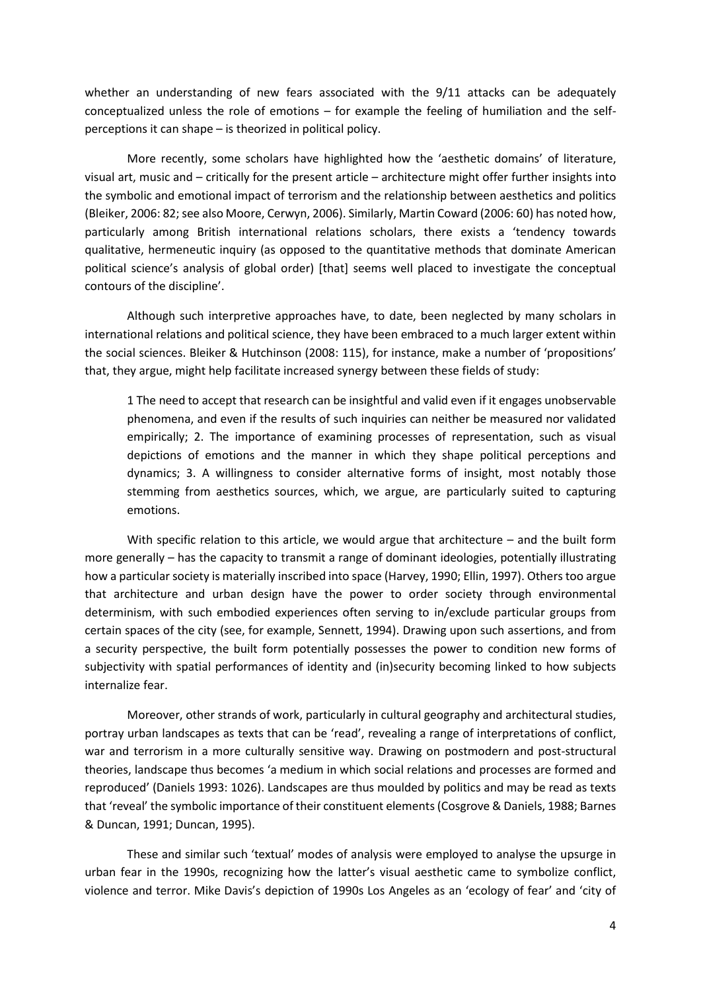whether an understanding of new fears associated with the 9/11 attacks can be adequately conceptualized unless the role of emotions – for example the feeling of humiliation and the selfperceptions it can shape – is theorized in political policy.

More recently, some scholars have highlighted how the 'aesthetic domains' of literature, visual art, music and – critically for the present article – architecture might offer further insights into the symbolic and emotional impact of terrorism and the relationship between aesthetics and politics (Bleiker, 2006: 82; see also Moore, Cerwyn, 2006). Similarly, Martin Coward (2006: 60) has noted how, particularly among British international relations scholars, there exists a 'tendency towards qualitative, hermeneutic inquiry (as opposed to the quantitative methods that dominate American political science's analysis of global order) [that] seems well placed to investigate the conceptual contours of the discipline'.

Although such interpretive approaches have, to date, been neglected by many scholars in international relations and political science, they have been embraced to a much larger extent within the social sciences. Bleiker & Hutchinson (2008: 115), for instance, make a number of 'propositions' that, they argue, might help facilitate increased synergy between these fields of study:

1 The need to accept that research can be insightful and valid even if it engages unobservable phenomena, and even if the results of such inquiries can neither be measured nor validated empirically; 2. The importance of examining processes of representation, such as visual depictions of emotions and the manner in which they shape political perceptions and dynamics; 3. A willingness to consider alternative forms of insight, most notably those stemming from aesthetics sources, which, we argue, are particularly suited to capturing emotions.

With specific relation to this article, we would argue that architecture – and the built form more generally – has the capacity to transmit a range of dominant ideologies, potentially illustrating how a particular society is materially inscribed into space (Harvey, 1990; Ellin, 1997). Others too argue that architecture and urban design have the power to order society through environmental determinism, with such embodied experiences often serving to in/exclude particular groups from certain spaces of the city (see, for example, Sennett, 1994). Drawing upon such assertions, and from a security perspective, the built form potentially possesses the power to condition new forms of subjectivity with spatial performances of identity and (in)security becoming linked to how subjects internalize fear.

Moreover, other strands of work, particularly in cultural geography and architectural studies, portray urban landscapes as texts that can be 'read', revealing a range of interpretations of conflict, war and terrorism in a more culturally sensitive way. Drawing on postmodern and post-structural theories, landscape thus becomes 'a medium in which social relations and processes are formed and reproduced' (Daniels 1993: 1026). Landscapes are thus moulded by politics and may be read as texts that 'reveal' the symbolic importance of their constituent elements (Cosgrove & Daniels, 1988; Barnes & Duncan, 1991; Duncan, 1995).

These and similar such 'textual' modes of analysis were employed to analyse the upsurge in urban fear in the 1990s, recognizing how the latter's visual aesthetic came to symbolize conflict, violence and terror. Mike Davis's depiction of 1990s Los Angeles as an 'ecology of fear' and 'city of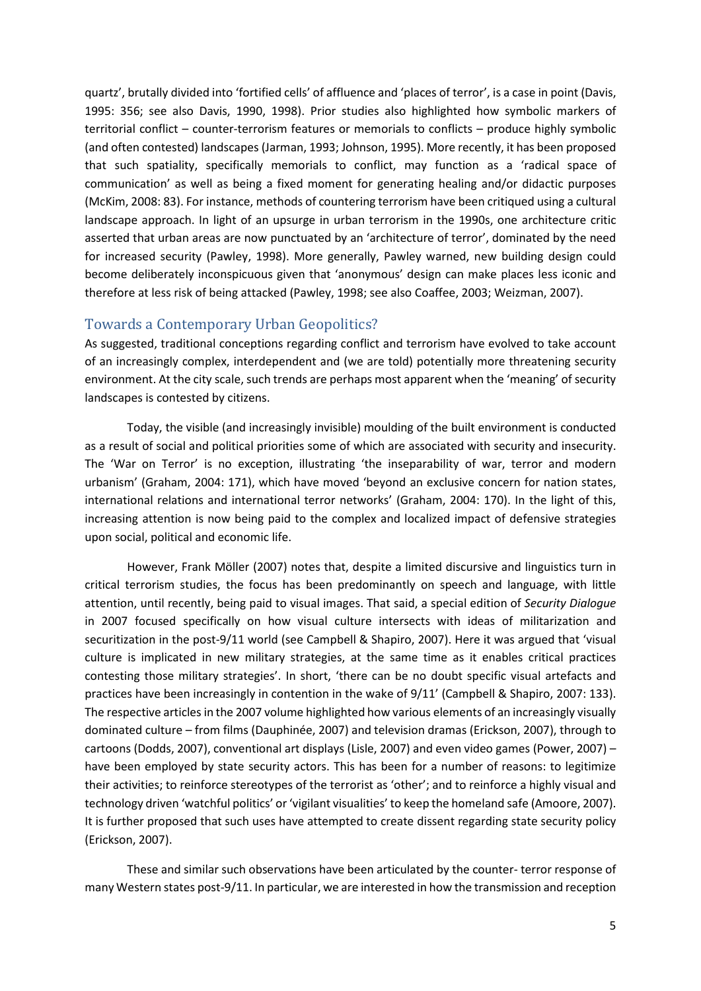quartz', brutally divided into 'fortified cells' of affluence and 'places of terror', is a case in point (Davis, 1995: 356; see also Davis, 1990, 1998). Prior studies also highlighted how symbolic markers of territorial conflict – counter-terrorism features or memorials to conflicts – produce highly symbolic (and often contested) landscapes (Jarman, 1993; Johnson, 1995). More recently, it has been proposed that such spatiality, specifically memorials to conflict, may function as a 'radical space of communication' as well as being a fixed moment for generating healing and/or didactic purposes (McKim, 2008: 83). For instance, methods of countering terrorism have been critiqued using a cultural landscape approach. In light of an upsurge in urban terrorism in the 1990s, one architecture critic asserted that urban areas are now punctuated by an 'architecture of terror', dominated by the need for increased security (Pawley, 1998). More generally, Pawley warned, new building design could become deliberately inconspicuous given that 'anonymous' design can make places less iconic and therefore at less risk of being attacked (Pawley, 1998; see also Coaffee, 2003; Weizman, 2007).

## Towards a Contemporary Urban Geopolitics?

As suggested, traditional conceptions regarding conflict and terrorism have evolved to take account of an increasingly complex, interdependent and (we are told) potentially more threatening security environment. At the city scale, such trends are perhaps most apparent when the 'meaning' of security landscapes is contested by citizens.

Today, the visible (and increasingly invisible) moulding of the built environment is conducted as a result of social and political priorities some of which are associated with security and insecurity. The 'War on Terror' is no exception, illustrating 'the inseparability of war, terror and modern urbanism' (Graham, 2004: 171), which have moved 'beyond an exclusive concern for nation states, international relations and international terror networks' (Graham, 2004: 170). In the light of this, increasing attention is now being paid to the complex and localized impact of defensive strategies upon social, political and economic life.

However, Frank Möller (2007) notes that, despite a limited discursive and linguistics turn in critical terrorism studies, the focus has been predominantly on speech and language, with little attention, until recently, being paid to visual images. That said, a special edition of *Security Dialogue*  in 2007 focused specifically on how visual culture intersects with ideas of militarization and securitization in the post-9/11 world (see Campbell & Shapiro, 2007). Here it was argued that 'visual culture is implicated in new military strategies, at the same time as it enables critical practices contesting those military strategies'. In short, 'there can be no doubt specific visual artefacts and practices have been increasingly in contention in the wake of 9/11' (Campbell & Shapiro, 2007: 133). The respective articles in the 2007 volume highlighted how various elements of an increasingly visually dominated culture – from films (Dauphinée, 2007) and television dramas (Erickson, 2007), through to cartoons (Dodds, 2007), conventional art displays (Lisle, 2007) and even video games (Power, 2007) – have been employed by state security actors. This has been for a number of reasons: to legitimize their activities; to reinforce stereotypes of the terrorist as 'other'; and to reinforce a highly visual and technology driven 'watchful politics' or 'vigilant visualities' to keep the homeland safe (Amoore, 2007). It is further proposed that such uses have attempted to create dissent regarding state security policy (Erickson, 2007).

These and similar such observations have been articulated by the counter- terror response of many Western states post-9/11. In particular, we are interested in how the transmission and reception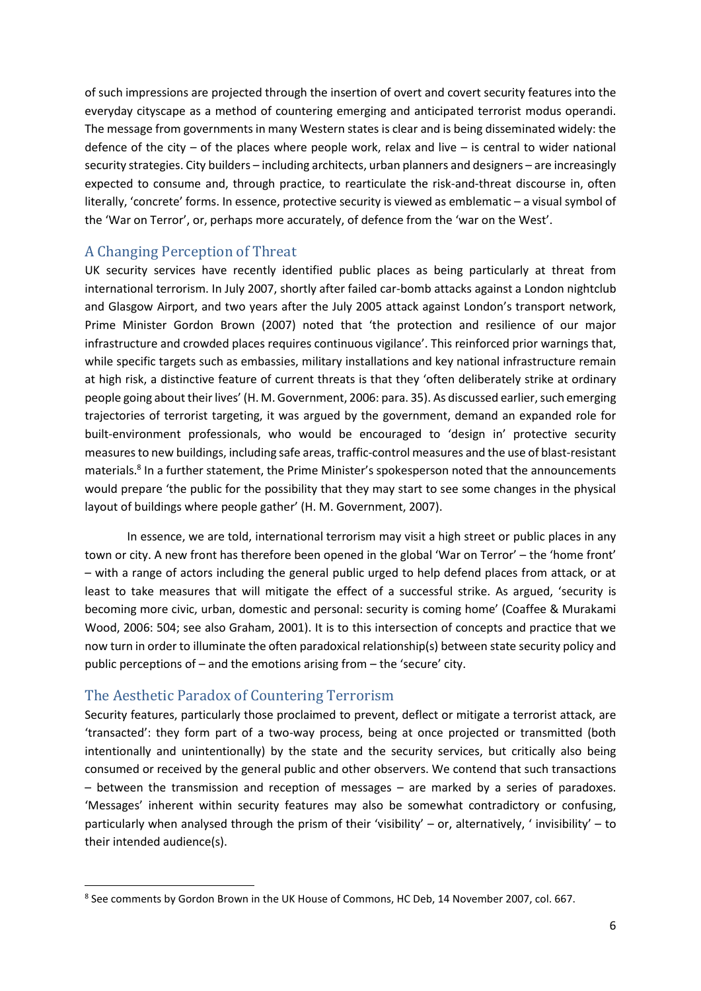of such impressions are projected through the insertion of overt and covert security features into the everyday cityscape as a method of countering emerging and anticipated terrorist modus operandi. The message from governments in many Western states is clear and is being disseminated widely: the defence of the city – of the places where people work, relax and live – is central to wider national security strategies. City builders – including architects, urban planners and designers – are increasingly expected to consume and, through practice, to rearticulate the risk-and-threat discourse in, often literally, 'concrete' forms. In essence, protective security is viewed as emblematic – a visual symbol of the 'War on Terror', or, perhaps more accurately, of defence from the 'war on the West'.

## A Changing Perception of Threat

UK security services have recently identified public places as being particularly at threat from international terrorism. In July 2007, shortly after failed car-bomb attacks against a London nightclub and Glasgow Airport, and two years after the July 2005 attack against London's transport network, Prime Minister Gordon Brown (2007) noted that 'the protection and resilience of our major infrastructure and crowded places requires continuous vigilance'. This reinforced prior warnings that, while specific targets such as embassies, military installations and key national infrastructure remain at high risk, a distinctive feature of current threats is that they 'often deliberately strike at ordinary people going about their lives' (H. M. Government, 2006: para. 35). As discussed earlier, such emerging trajectories of terrorist targeting, it was argued by the government, demand an expanded role for built-environment professionals, who would be encouraged to 'design in' protective security measures to new buildings, including safe areas, traffic-control measures and the use of blast-resistant materials.<sup>8</sup> In a further statement, the Prime Minister's spokesperson noted that the announcements would prepare 'the public for the possibility that they may start to see some changes in the physical layout of buildings where people gather' (H. M. Government, 2007).

In essence, we are told, international terrorism may visit a high street or public places in any town or city. A new front has therefore been opened in the global 'War on Terror' – the 'home front' – with a range of actors including the general public urged to help defend places from attack, or at least to take measures that will mitigate the effect of a successful strike. As argued, 'security is becoming more civic, urban, domestic and personal: security is coming home' (Coaffee & Murakami Wood, 2006: 504; see also Graham, 2001). It is to this intersection of concepts and practice that we now turn in order to illuminate the often paradoxical relationship(s) between state security policy and public perceptions of – and the emotions arising from – the 'secure' city.

#### The Aesthetic Paradox of Countering Terrorism

**.** 

Security features, particularly those proclaimed to prevent, deflect or mitigate a terrorist attack, are 'transacted': they form part of a two-way process, being at once projected or transmitted (both intentionally and unintentionally) by the state and the security services, but critically also being consumed or received by the general public and other observers. We contend that such transactions – between the transmission and reception of messages – are marked by a series of paradoxes. 'Messages' inherent within security features may also be somewhat contradictory or confusing, particularly when analysed through the prism of their 'visibility' – or, alternatively, ' invisibility' – to their intended audience(s).

<sup>&</sup>lt;sup>8</sup> See comments by Gordon Brown in the UK House of Commons, HC Deb, 14 November 2007, col. 667.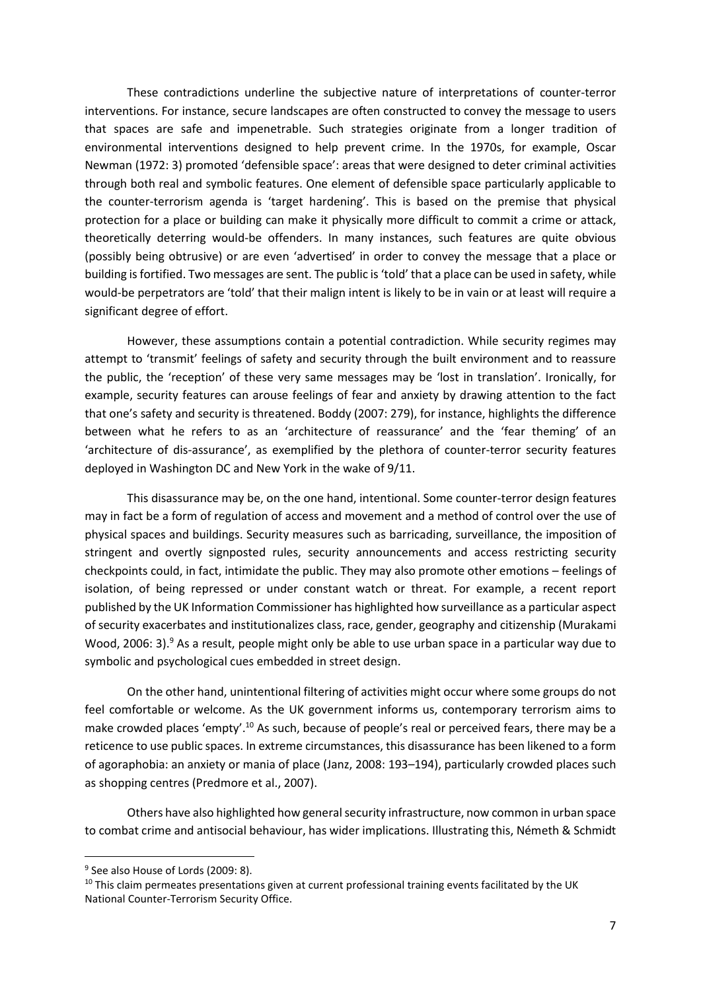These contradictions underline the subjective nature of interpretations of counter-terror interventions. For instance, secure landscapes are often constructed to convey the message to users that spaces are safe and impenetrable. Such strategies originate from a longer tradition of environmental interventions designed to help prevent crime. In the 1970s, for example, Oscar Newman (1972: 3) promoted 'defensible space': areas that were designed to deter criminal activities through both real and symbolic features. One element of defensible space particularly applicable to the counter-terrorism agenda is 'target hardening'. This is based on the premise that physical protection for a place or building can make it physically more difficult to commit a crime or attack, theoretically deterring would-be offenders. In many instances, such features are quite obvious (possibly being obtrusive) or are even 'advertised' in order to convey the message that a place or building is fortified. Two messages are sent. The public is 'told' that a place can be used in safety, while would-be perpetrators are 'told' that their malign intent is likely to be in vain or at least will require a significant degree of effort.

However, these assumptions contain a potential contradiction. While security regimes may attempt to 'transmit' feelings of safety and security through the built environment and to reassure the public, the 'reception' of these very same messages may be 'lost in translation'. Ironically, for example, security features can arouse feelings of fear and anxiety by drawing attention to the fact that one's safety and security is threatened. Boddy (2007: 279), for instance, highlights the difference between what he refers to as an 'architecture of reassurance' and the 'fear theming' of an 'architecture of dis-assurance', as exemplified by the plethora of counter-terror security features deployed in Washington DC and New York in the wake of 9/11.

This disassurance may be, on the one hand, intentional. Some counter-terror design features may in fact be a form of regulation of access and movement and a method of control over the use of physical spaces and buildings. Security measures such as barricading, surveillance, the imposition of stringent and overtly signposted rules, security announcements and access restricting security checkpoints could, in fact, intimidate the public. They may also promote other emotions – feelings of isolation, of being repressed or under constant watch or threat. For example, a recent report published by the UK Information Commissioner has highlighted how surveillance as a particular aspect of security exacerbates and institutionalizes class, race, gender, geography and citizenship (Murakami Wood, 2006: 3).<sup>9</sup> As a result, people might only be able to use urban space in a particular way due to symbolic and psychological cues embedded in street design.

On the other hand, unintentional filtering of activities might occur where some groups do not feel comfortable or welcome. As the UK government informs us, contemporary terrorism aims to make crowded places 'empty'.<sup>10</sup> As such, because of people's real or perceived fears, there may be a reticence to use public spaces. In extreme circumstances, this disassurance has been likened to a form of agoraphobia: an anxiety or mania of place (Janz, 2008: 193–194), particularly crowded places such as shopping centres (Predmore et al., 2007).

Others have also highlighted how general security infrastructure, now common in urban space to combat crime and antisocial behaviour, has wider implications. Illustrating this, Németh & Schmidt

<sup>&</sup>lt;sup>9</sup> See also House of Lords (2009: 8).

<sup>&</sup>lt;sup>10</sup> This claim permeates presentations given at current professional training events facilitated by the UK National Counter-Terrorism Security Office.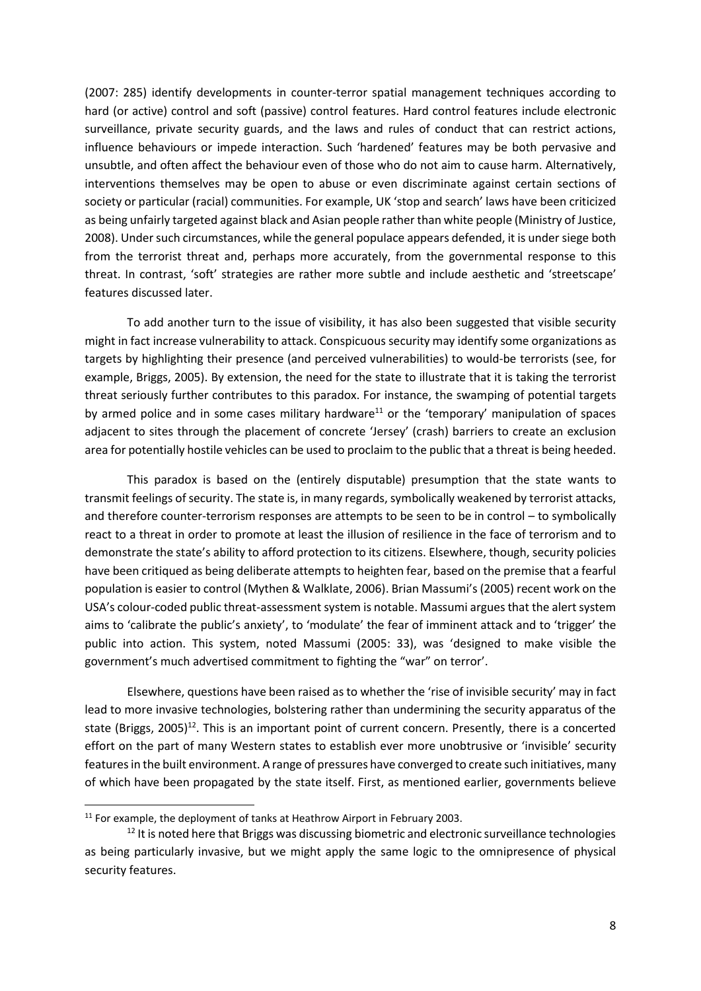(2007: 285) identify developments in counter-terror spatial management techniques according to hard (or active) control and soft (passive) control features. Hard control features include electronic surveillance, private security guards, and the laws and rules of conduct that can restrict actions, influence behaviours or impede interaction. Such 'hardened' features may be both pervasive and unsubtle, and often affect the behaviour even of those who do not aim to cause harm. Alternatively, interventions themselves may be open to abuse or even discriminate against certain sections of society or particular (racial) communities. For example, UK 'stop and search' laws have been criticized as being unfairly targeted against black and Asian people rather than white people (Ministry of Justice, 2008). Under such circumstances, while the general populace appears defended, it is under siege both from the terrorist threat and, perhaps more accurately, from the governmental response to this threat. In contrast, 'soft' strategies are rather more subtle and include aesthetic and 'streetscape' features discussed later.

To add another turn to the issue of visibility, it has also been suggested that visible security might in fact increase vulnerability to attack. Conspicuous security may identify some organizations as targets by highlighting their presence (and perceived vulnerabilities) to would-be terrorists (see, for example, Briggs, 2005). By extension, the need for the state to illustrate that it is taking the terrorist threat seriously further contributes to this paradox. For instance, the swamping of potential targets by armed police and in some cases military hardware<sup>11</sup> or the 'temporary' manipulation of spaces adjacent to sites through the placement of concrete 'Jersey' (crash) barriers to create an exclusion area for potentially hostile vehicles can be used to proclaim to the public that a threat is being heeded.

This paradox is based on the (entirely disputable) presumption that the state wants to transmit feelings of security. The state is, in many regards, symbolically weakened by terrorist attacks, and therefore counter-terrorism responses are attempts to be seen to be in control – to symbolically react to a threat in order to promote at least the illusion of resilience in the face of terrorism and to demonstrate the state's ability to afford protection to its citizens. Elsewhere, though, security policies have been critiqued as being deliberate attempts to heighten fear, based on the premise that a fearful population is easier to control (Mythen & Walklate, 2006). Brian Massumi's (2005) recent work on the USA's colour-coded public threat-assessment system is notable. Massumi argues that the alert system aims to 'calibrate the public's anxiety', to 'modulate' the fear of imminent attack and to 'trigger' the public into action. This system, noted Massumi (2005: 33), was 'designed to make visible the government's much advertised commitment to fighting the "war" on terror'.

Elsewhere, questions have been raised as to whether the 'rise of invisible security' may in fact lead to more invasive technologies, bolstering rather than undermining the security apparatus of the state (Briggs, 2005)<sup>12</sup>. This is an important point of current concern. Presently, there is a concerted effort on the part of many Western states to establish ever more unobtrusive or 'invisible' security features in the built environment. A range of pressures have converged to create such initiatives, many of which have been propagated by the state itself. First, as mentioned earlier, governments believe

<sup>&</sup>lt;sup>11</sup> For example, the deployment of tanks at Heathrow Airport in February 2003.

 $12$  It is noted here that Briggs was discussing biometric and electronic surveillance technologies as being particularly invasive, but we might apply the same logic to the omnipresence of physical security features.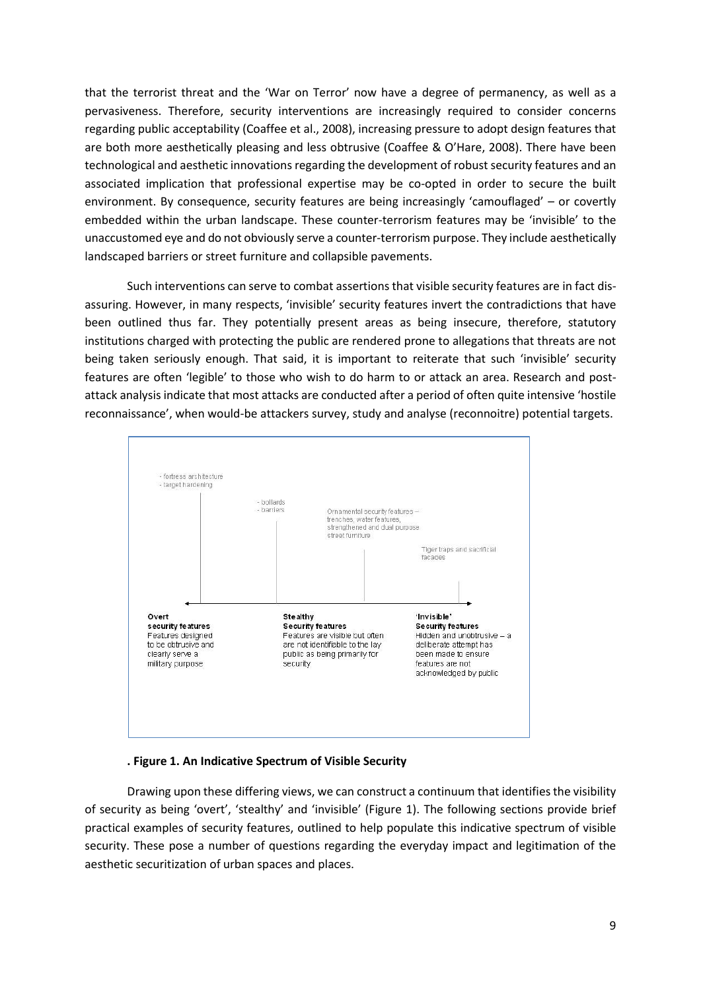that the terrorist threat and the 'War on Terror' now have a degree of permanency, as well as a pervasiveness. Therefore, security interventions are increasingly required to consider concerns regarding public acceptability (Coaffee et al., 2008), increasing pressure to adopt design features that are both more aesthetically pleasing and less obtrusive (Coaffee & O'Hare, 2008). There have been technological and aesthetic innovations regarding the development of robust security features and an associated implication that professional expertise may be co-opted in order to secure the built environment. By consequence, security features are being increasingly 'camouflaged' – or covertly embedded within the urban landscape. These counter-terrorism features may be 'invisible' to the unaccustomed eye and do not obviously serve a counter-terrorism purpose. They include aesthetically landscaped barriers or street furniture and collapsible pavements.

Such interventions can serve to combat assertions that visible security features are in fact disassuring. However, in many respects, 'invisible' security features invert the contradictions that have been outlined thus far. They potentially present areas as being insecure, therefore, statutory institutions charged with protecting the public are rendered prone to allegations that threats are not being taken seriously enough. That said, it is important to reiterate that such 'invisible' security features are often 'legible' to those who wish to do harm to or attack an area. Research and postattack analysis indicate that most attacks are conducted after a period of often quite intensive 'hostile reconnaissance', when would-be attackers survey, study and analyse (reconnoitre) potential targets.



#### **. Figure 1. An Indicative Spectrum of Visible Security**

Drawing upon these differing views, we can construct a continuum that identifies the visibility of security as being 'overt', 'stealthy' and 'invisible' (Figure 1). The following sections provide brief practical examples of security features, outlined to help populate this indicative spectrum of visible security. These pose a number of questions regarding the everyday impact and legitimation of the aesthetic securitization of urban spaces and places.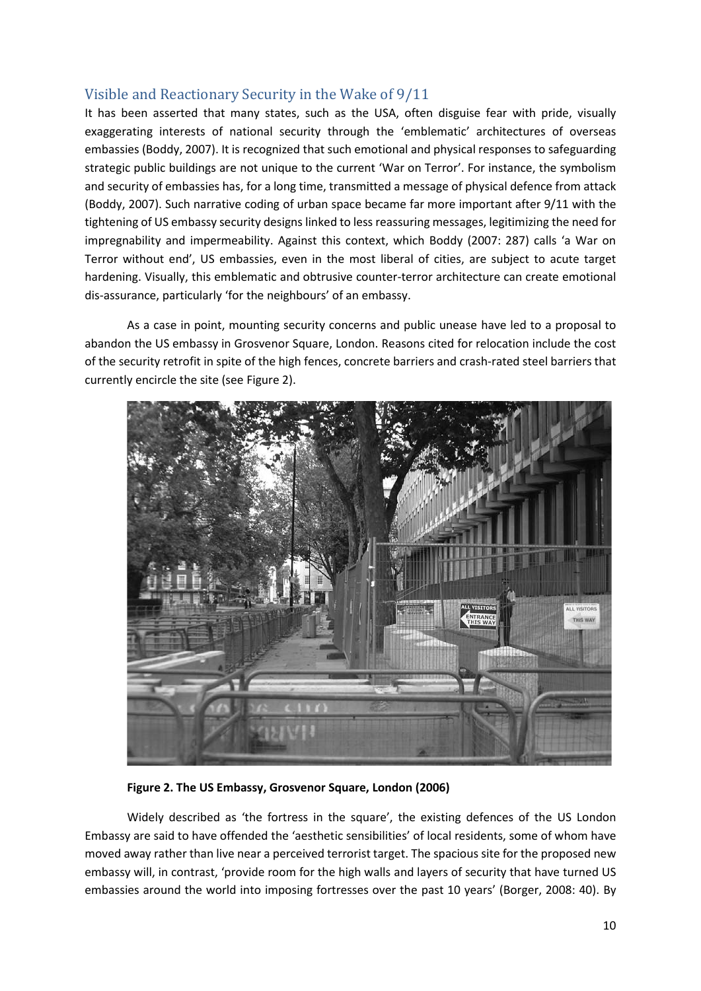# Visible and Reactionary Security in the Wake of 9/11

It has been asserted that many states, such as the USA, often disguise fear with pride, visually exaggerating interests of national security through the 'emblematic' architectures of overseas embassies (Boddy, 2007). It is recognized that such emotional and physical responses to safeguarding strategic public buildings are not unique to the current 'War on Terror'. For instance, the symbolism and security of embassies has, for a long time, transmitted a message of physical defence from attack (Boddy, 2007). Such narrative coding of urban space became far more important after 9/11 with the tightening of US embassy security designs linked to less reassuring messages, legitimizing the need for impregnability and impermeability. Against this context, which Boddy (2007: 287) calls 'a War on Terror without end', US embassies, even in the most liberal of cities, are subject to acute target hardening. Visually, this emblematic and obtrusive counter-terror architecture can create emotional dis-assurance, particularly 'for the neighbours' of an embassy.

As a case in point, mounting security concerns and public unease have led to a proposal to abandon the US embassy in Grosvenor Square, London. Reasons cited for relocation include the cost of the security retrofit in spite of the high fences, concrete barriers and crash-rated steel barriers that currently encircle the site (see Figure 2).



**Figure 2. The US Embassy, Grosvenor Square, London (2006)**

Widely described as 'the fortress in the square', the existing defences of the US London Embassy are said to have offended the 'aesthetic sensibilities' of local residents, some of whom have moved away rather than live near a perceived terrorist target. The spacious site for the proposed new embassy will, in contrast, 'provide room for the high walls and layers of security that have turned US embassies around the world into imposing fortresses over the past 10 years' (Borger, 2008: 40). By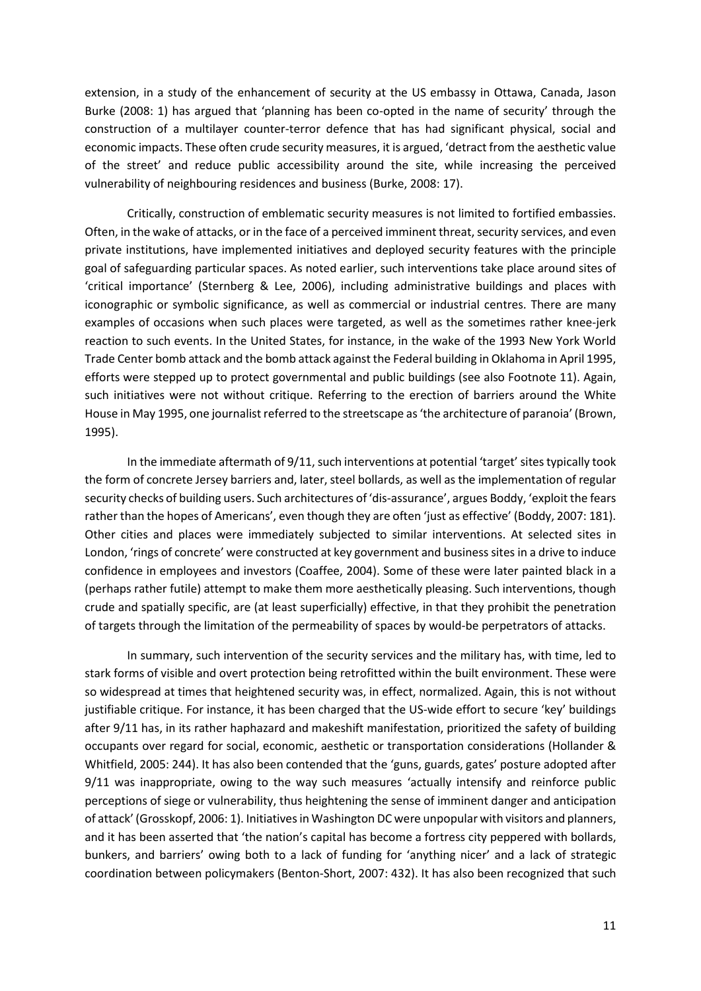extension, in a study of the enhancement of security at the US embassy in Ottawa, Canada, Jason Burke (2008: 1) has argued that 'planning has been co-opted in the name of security' through the construction of a multilayer counter-terror defence that has had significant physical, social and economic impacts. These often crude security measures, it is argued, 'detract from the aesthetic value of the street' and reduce public accessibility around the site, while increasing the perceived vulnerability of neighbouring residences and business (Burke, 2008: 17).

Critically, construction of emblematic security measures is not limited to fortified embassies. Often, in the wake of attacks, or in the face of a perceived imminent threat, security services, and even private institutions, have implemented initiatives and deployed security features with the principle goal of safeguarding particular spaces. As noted earlier, such interventions take place around sites of 'critical importance' (Sternberg & Lee, 2006), including administrative buildings and places with iconographic or symbolic significance, as well as commercial or industrial centres. There are many examples of occasions when such places were targeted, as well as the sometimes rather knee-jerk reaction to such events. In the United States, for instance, in the wake of the 1993 New York World Trade Center bomb attack and the bomb attack against the Federal building in Oklahoma in April 1995, efforts were stepped up to protect governmental and public buildings (see also Footnote 11). Again, such initiatives were not without critique. Referring to the erection of barriers around the White House in May 1995, one journalist referred to the streetscape as 'the architecture of paranoia' (Brown, 1995).

In the immediate aftermath of 9/11, such interventions at potential 'target' sites typically took the form of concrete Jersey barriers and, later, steel bollards, as well as the implementation of regular security checks of building users. Such architectures of 'dis-assurance', argues Boddy, 'exploit the fears rather than the hopes of Americans', even though they are often 'just as effective' (Boddy, 2007: 181). Other cities and places were immediately subjected to similar interventions. At selected sites in London, 'rings of concrete' were constructed at key government and business sites in a drive to induce confidence in employees and investors (Coaffee, 2004). Some of these were later painted black in a (perhaps rather futile) attempt to make them more aesthetically pleasing. Such interventions, though crude and spatially specific, are (at least superficially) effective, in that they prohibit the penetration of targets through the limitation of the permeability of spaces by would-be perpetrators of attacks.

In summary, such intervention of the security services and the military has, with time, led to stark forms of visible and overt protection being retrofitted within the built environment. These were so widespread at times that heightened security was, in effect, normalized. Again, this is not without justifiable critique. For instance, it has been charged that the US-wide effort to secure 'key' buildings after 9/11 has, in its rather haphazard and makeshift manifestation, prioritized the safety of building occupants over regard for social, economic, aesthetic or transportation considerations (Hollander & Whitfield, 2005: 244). It has also been contended that the 'guns, guards, gates' posture adopted after 9/11 was inappropriate, owing to the way such measures 'actually intensify and reinforce public perceptions of siege or vulnerability, thus heightening the sense of imminent danger and anticipation of attack' (Grosskopf, 2006: 1). Initiatives in Washington DC were unpopular with visitors and planners, and it has been asserted that 'the nation's capital has become a fortress city peppered with bollards, bunkers, and barriers' owing both to a lack of funding for 'anything nicer' and a lack of strategic coordination between policymakers (Benton-Short, 2007: 432). It has also been recognized that such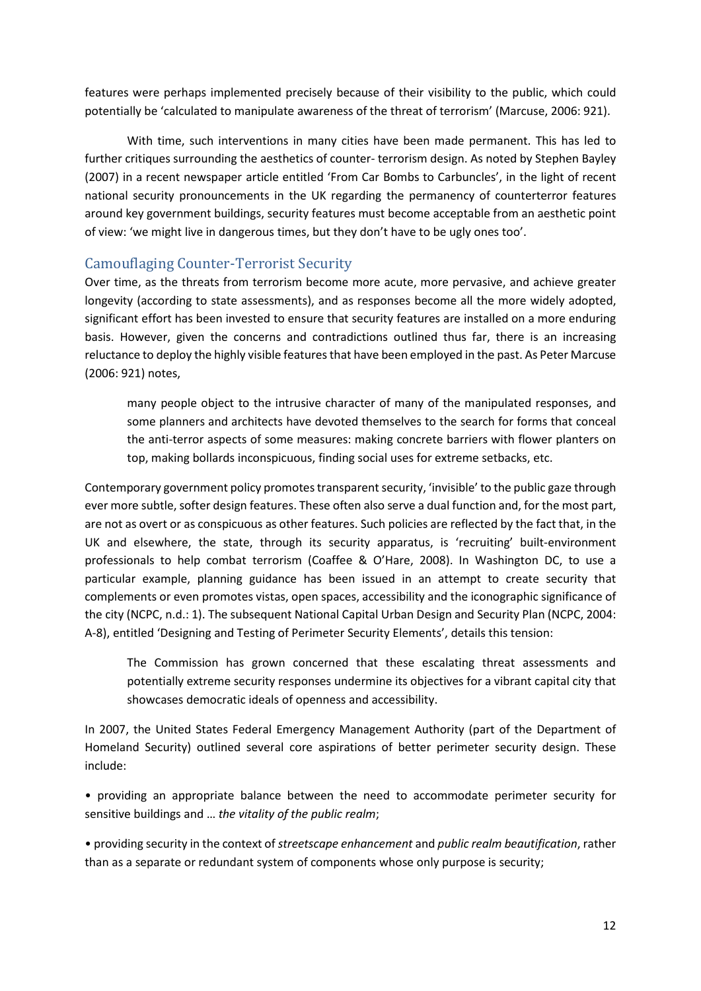features were perhaps implemented precisely because of their visibility to the public, which could potentially be 'calculated to manipulate awareness of the threat of terrorism' (Marcuse, 2006: 921).

With time, such interventions in many cities have been made permanent. This has led to further critiques surrounding the aesthetics of counter- terrorism design. As noted by Stephen Bayley (2007) in a recent newspaper article entitled 'From Car Bombs to Carbuncles', in the light of recent national security pronouncements in the UK regarding the permanency of counterterror features around key government buildings, security features must become acceptable from an aesthetic point of view: 'we might live in dangerous times, but they don't have to be ugly ones too'.

# Camouflaging Counter-Terrorist Security

Over time, as the threats from terrorism become more acute, more pervasive, and achieve greater longevity (according to state assessments), and as responses become all the more widely adopted, significant effort has been invested to ensure that security features are installed on a more enduring basis. However, given the concerns and contradictions outlined thus far, there is an increasing reluctance to deploy the highly visible features that have been employed in the past. As Peter Marcuse (2006: 921) notes,

many people object to the intrusive character of many of the manipulated responses, and some planners and architects have devoted themselves to the search for forms that conceal the anti-terror aspects of some measures: making concrete barriers with flower planters on top, making bollards inconspicuous, finding social uses for extreme setbacks, etc.

Contemporary government policy promotes transparent security, 'invisible' to the public gaze through ever more subtle, softer design features. These often also serve a dual function and, for the most part, are not as overt or as conspicuous as other features. Such policies are reflected by the fact that, in the UK and elsewhere, the state, through its security apparatus, is 'recruiting' built-environment professionals to help combat terrorism (Coaffee & O'Hare, 2008). In Washington DC, to use a particular example, planning guidance has been issued in an attempt to create security that complements or even promotes vistas, open spaces, accessibility and the iconographic significance of the city (NCPC, n.d.: 1). The subsequent National Capital Urban Design and Security Plan (NCPC, 2004: A-8), entitled 'Designing and Testing of Perimeter Security Elements', details this tension:

The Commission has grown concerned that these escalating threat assessments and potentially extreme security responses undermine its objectives for a vibrant capital city that showcases democratic ideals of openness and accessibility.

In 2007, the United States Federal Emergency Management Authority (part of the Department of Homeland Security) outlined several core aspirations of better perimeter security design. These include:

• providing an appropriate balance between the need to accommodate perimeter security for sensitive buildings and … *the vitality of the public realm*;

• providing security in the context of *streetscape enhancement* and *public realm beautification*, rather than as a separate or redundant system of components whose only purpose is security;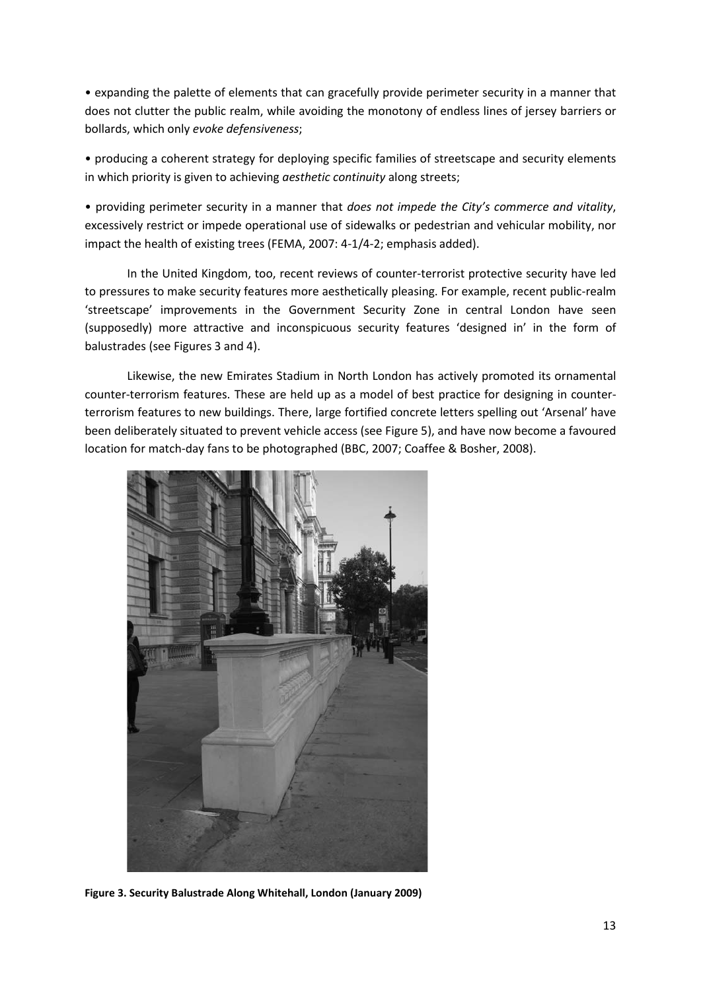• expanding the palette of elements that can gracefully provide perimeter security in a manner that does not clutter the public realm, while avoiding the monotony of endless lines of jersey barriers or bollards, which only *evoke defensiveness*;

• producing a coherent strategy for deploying specific families of streetscape and security elements in which priority is given to achieving *aesthetic continuity* along streets;

• providing perimeter security in a manner that *does not impede the City's commerce and vitality*, excessively restrict or impede operational use of sidewalks or pedestrian and vehicular mobility, nor impact the health of existing trees (FEMA, 2007: 4-1/4-2; emphasis added).

In the United Kingdom, too, recent reviews of counter-terrorist protective security have led to pressures to make security features more aesthetically pleasing. For example, recent public-realm 'streetscape' improvements in the Government Security Zone in central London have seen (supposedly) more attractive and inconspicuous security features 'designed in' in the form of balustrades (see Figures 3 and 4).

Likewise, the new Emirates Stadium in North London has actively promoted its ornamental counter-terrorism features. These are held up as a model of best practice for designing in counterterrorism features to new buildings. There, large fortified concrete letters spelling out 'Arsenal' have been deliberately situated to prevent vehicle access (see Figure 5), and have now become a favoured location for match-day fans to be photographed (BBC, 2007; Coaffee & Bosher, 2008).



**Figure 3. Security Balustrade Along Whitehall, London (January 2009)**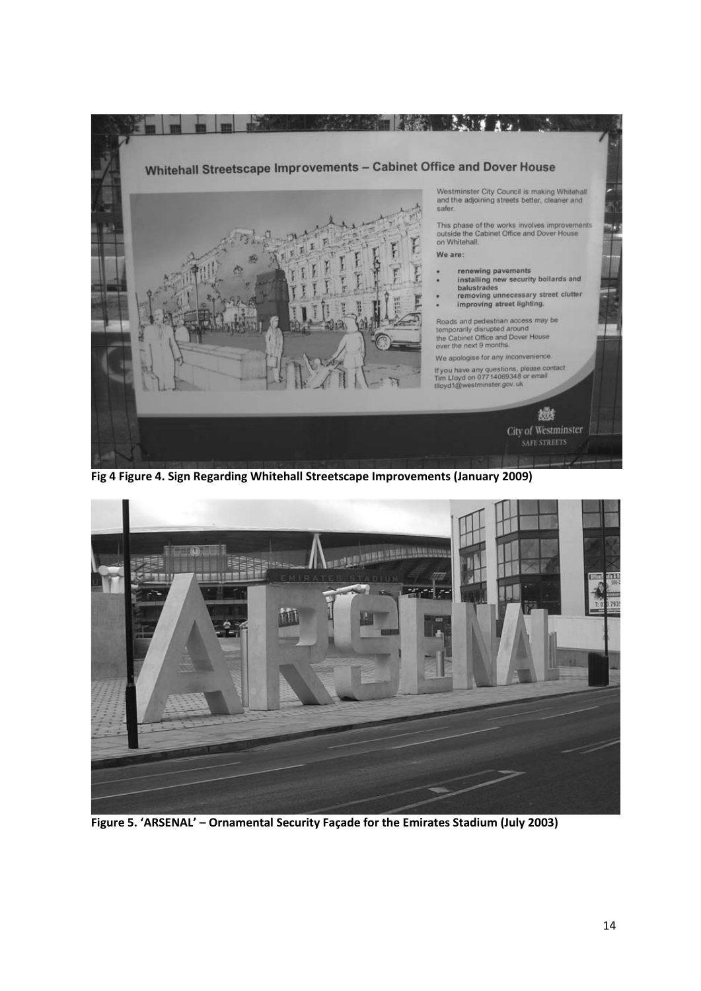

**Fig 4 Figure 4. Sign Regarding Whitehall Streetscape Improvements (January 2009)**



**Figure 5. 'ARSENAL' – Ornamental Security Façade for the Emirates Stadium (July 2003)**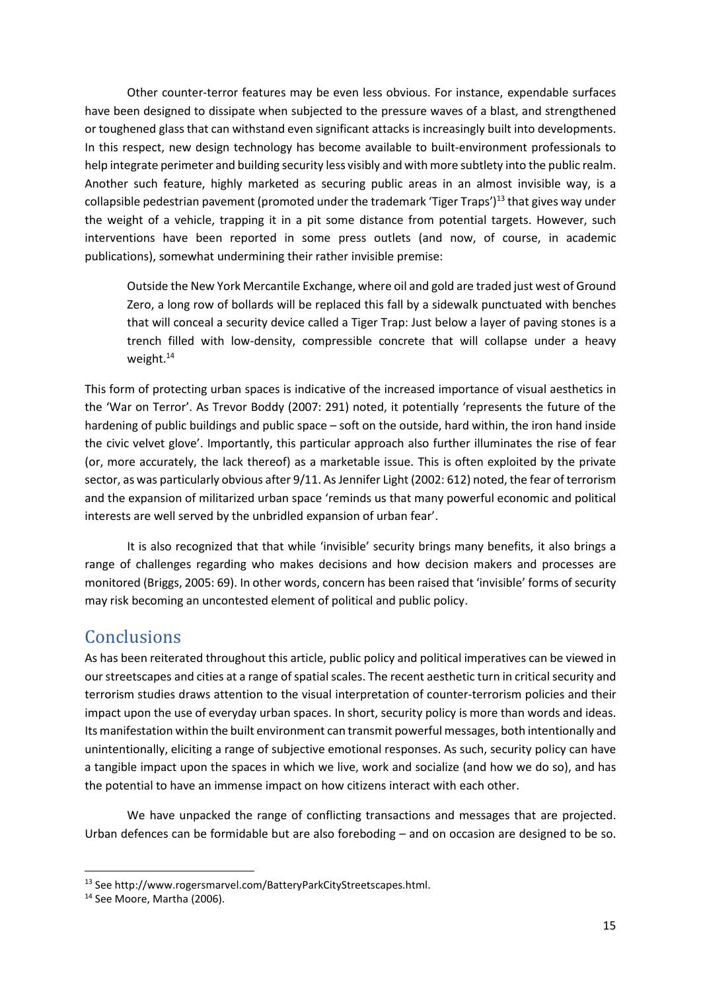Other counter-terror features may be even less obvious. For instance, expendable surfaces have been designed to dissipate when subjected to the pressure waves of a blast, and strengthened or toughened glass that can withstand even significant attacks is increasingly built into developments. In this respect, new design technology has become available to built-environment professionals to help integrate perimeter and building security less visibly and with more subtlety into the public realm. Another such feature, highly marketed as securing public areas in an almost invisible way, is a collapsible pedestrian pavement (promoted under the trademark 'Tiger Traps')<sup>13</sup> that gives way under the weight of a vehicle, trapping it in a pit some distance from potential targets. However, such interventions have been reported in some press outlets (and now, of course, in academic publications), somewhat undermining their rather invisible premise:

Outside the New York Mercantile Exchange, where oil and gold are traded just west of Ground Zero, a long row of bollards will be replaced this fall by a sidewalk punctuated with benches that will conceal a security device called a Tiger Trap: Just below a layer of paving stones is a trench filled with low-density, compressible concrete that will collapse under a heavy weight. 14

This form of protecting urban spaces is indicative of the increased importance of visual aesthetics in the 'War on Terror'. As Trevor Boddy (2007: 291) noted, it potentially 'represents the future of the hardening of public buildings and public space – soft on the outside, hard within, the iron hand inside the civic velvet glove'. Importantly, this particular approach also further illuminates the rise of fear (or, more accurately, the lack thereof) as a marketable issue. This is often exploited by the private sector, as was particularly obvious after 9/11. As Jennifer Light (2002: 612) noted, the fear of terrorism and the expansion of militarized urban space 'reminds us that many powerful economic and political interests are well served by the unbridled expansion of urban fear'.

It is also recognized that that while 'invisible' security brings many benefits, it also brings a range of challenges regarding who makes decisions and how decision makers and processes are monitored (Briggs, 2005: 69). In other words, concern has been raised that 'invisible' forms of security may risk becoming an uncontested element of political and public policy.

# **Conclusions**

As has been reiterated throughout this article, public policy and political imperatives can be viewed in our streetscapes and cities at a range of spatial scales. The recent aesthetic turn in criticalsecurity and terrorism studies draws attention to the visual interpretation of counter-terrorism policies and their impact upon the use of everyday urban spaces. In short, security policy is more than words and ideas. Its manifestation within the built environment can transmit powerful messages, both intentionally and unintentionally, eliciting a range of subjective emotional responses. As such, security policy can have a tangible impact upon the spaces in which we live, work and socialize (and how we do so), and has the potential to have an immense impact on how citizens interact with each other.

We have unpacked the range of conflicting transactions and messages that are projected. Urban defences can be formidable but are also foreboding – and on occasion are designed to be so.

<sup>13</sup> See http://www.rogersmarvel.com/BatteryParkCityStreetscapes.html.

<sup>14</sup> See Moore, Martha (2006).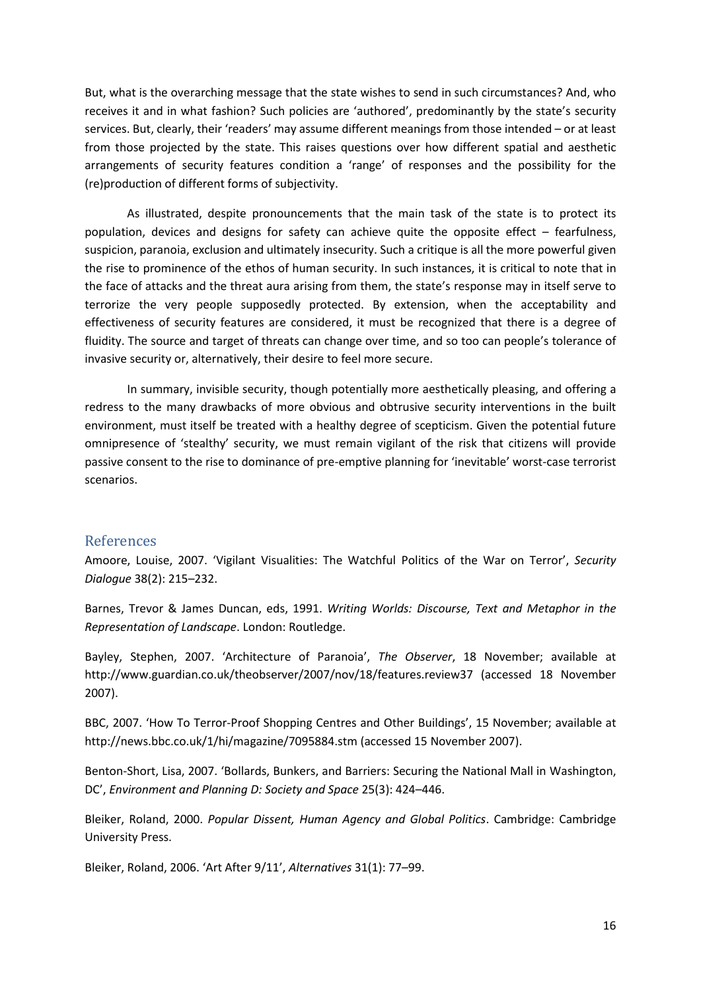But, what is the overarching message that the state wishes to send in such circumstances? And, who receives it and in what fashion? Such policies are 'authored', predominantly by the state's security services. But, clearly, their 'readers' may assume different meanings from those intended – or at least from those projected by the state. This raises questions over how different spatial and aesthetic arrangements of security features condition a 'range' of responses and the possibility for the (re)production of different forms of subjectivity.

As illustrated, despite pronouncements that the main task of the state is to protect its population, devices and designs for safety can achieve quite the opposite effect – fearfulness, suspicion, paranoia, exclusion and ultimately insecurity. Such a critique is all the more powerful given the rise to prominence of the ethos of human security. In such instances, it is critical to note that in the face of attacks and the threat aura arising from them, the state's response may in itself serve to terrorize the very people supposedly protected. By extension, when the acceptability and effectiveness of security features are considered, it must be recognized that there is a degree of fluidity. The source and target of threats can change over time, and so too can people's tolerance of invasive security or, alternatively, their desire to feel more secure.

In summary, invisible security, though potentially more aesthetically pleasing, and offering a redress to the many drawbacks of more obvious and obtrusive security interventions in the built environment, must itself be treated with a healthy degree of scepticism. Given the potential future omnipresence of 'stealthy' security, we must remain vigilant of the risk that citizens will provide passive consent to the rise to dominance of pre-emptive planning for 'inevitable' worst-case terrorist scenarios.

#### References

Amoore, Louise, 2007. 'Vigilant Visualities: The Watchful Politics of the War on Terror', *Security Dialogue* 38(2): 215–232.

Barnes, Trevor & James Duncan, eds, 1991. *Writing Worlds: Discourse, Text and Metaphor in the Representation of Landscape*. London: Routledge.

Bayley, Stephen, 2007. 'Architecture of Paranoia', *The Observer*, 18 November; available at http://www.guardian.co.uk/theobserver/2007/nov/18/features.review37 (accessed 18 November 2007).

BBC, 2007. 'How To Terror-Proof Shopping Centres and Other Buildings', 15 November; available at http://news.bbc.co.uk/1/hi/magazine/7095884.stm (accessed 15 November 2007).

Benton-Short, Lisa, 2007. 'Bollards, Bunkers, and Barriers: Securing the National Mall in Washington, DC', *Environment and Planning D: Society and Space* 25(3): 424–446.

Bleiker, Roland, 2000. *Popular Dissent, Human Agency and Global Politics*. Cambridge: Cambridge University Press.

Bleiker, Roland, 2006. 'Art After 9/11', *Alternatives* 31(1): 77–99.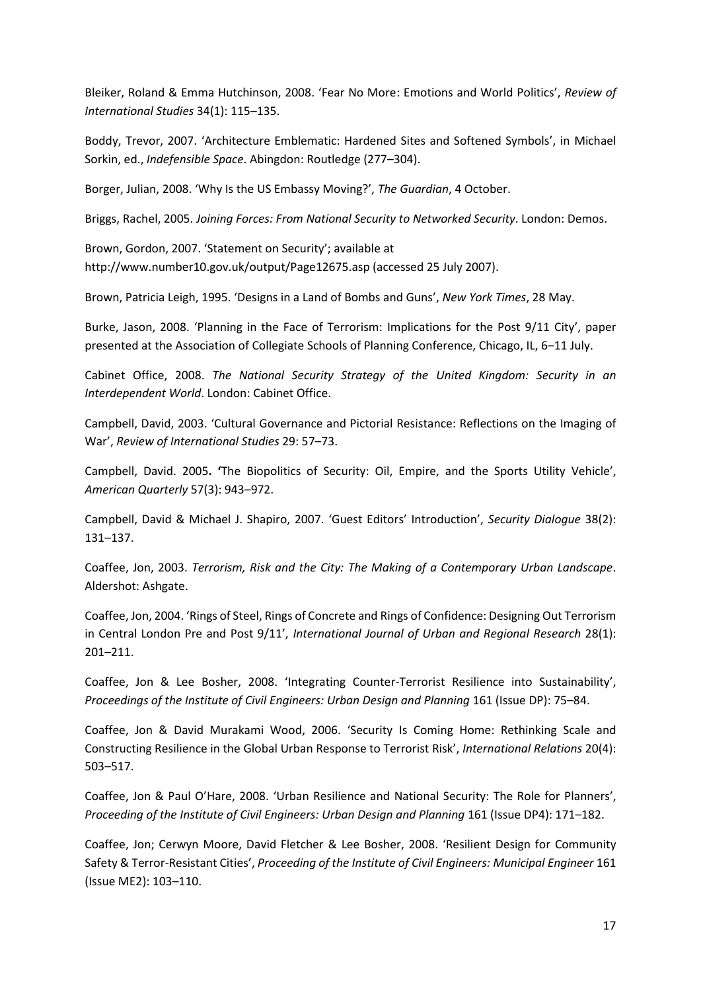Bleiker, Roland & Emma Hutchinson, 2008. 'Fear No More: Emotions and World Politics', *Review of International Studies* 34(1): 115–135.

Boddy, Trevor, 2007. 'Architecture Emblematic: Hardened Sites and Softened Symbols', in Michael Sorkin, ed., *Indefensible Space*. Abingdon: Routledge (277–304).

Borger, Julian, 2008. 'Why Is the US Embassy Moving?', *The Guardian*, 4 October.

Briggs, Rachel, 2005. *Joining Forces: From National Security to Networked Security*. London: Demos.

Brown, Gordon, 2007. 'Statement on Security'; available at http://www.number10.gov.uk/output/Page12675.asp (accessed 25 July 2007).

Brown, Patricia Leigh, 1995. 'Designs in a Land of Bombs and Guns', *New York Times*, 28 May.

Burke, Jason, 2008. 'Planning in the Face of Terrorism: Implications for the Post 9/11 City', paper presented at the Association of Collegiate Schools of Planning Conference, Chicago, IL, 6–11 July.

Cabinet Office, 2008. *The National Security Strategy of the United Kingdom: Security in an Interdependent World*. London: Cabinet Office.

Campbell, David, 2003. 'Cultural Governance and Pictorial Resistance: Reflections on the Imaging of War', *Review of International Studies* 29: 57–73.

Campbell, David. 2005**. '**The Biopolitics of Security: Oil, Empire, and the Sports Utility Vehicle', *American Quarterly* 57(3): 943–972.

Campbell, David & Michael J. Shapiro, 2007. 'Guest Editors' Introduction', *Security Dialogue* 38(2): 131–137.

Coaffee, Jon, 2003. *Terrorism, Risk and the City: The Making of a Contemporary Urban Landscape*. Aldershot: Ashgate.

Coaffee, Jon, 2004. 'Rings of Steel, Rings of Concrete and Rings of Confidence: Designing Out Terrorism in Central London Pre and Post 9/11', *International Journal of Urban and Regional Research* 28(1): 201–211.

Coaffee, Jon & Lee Bosher, 2008. 'Integrating Counter-Terrorist Resilience into Sustainability', *Proceedings of the Institute of Civil Engineers: Urban Design and Planning* 161 (Issue DP): 75–84.

Coaffee, Jon & David Murakami Wood, 2006. 'Security Is Coming Home: Rethinking Scale and Constructing Resilience in the Global Urban Response to Terrorist Risk', *International Relations* 20(4): 503–517.

Coaffee, Jon & Paul O'Hare, 2008. 'Urban Resilience and National Security: The Role for Planners', *Proceeding of the Institute of Civil Engineers: Urban Design and Planning* 161 (Issue DP4): 171–182.

Coaffee, Jon; Cerwyn Moore, David Fletcher & Lee Bosher, 2008. 'Resilient Design for Community Safety & Terror-Resistant Cities', *Proceeding of the Institute of Civil Engineers: Municipal Engineer* 161 (Issue ME2): 103–110.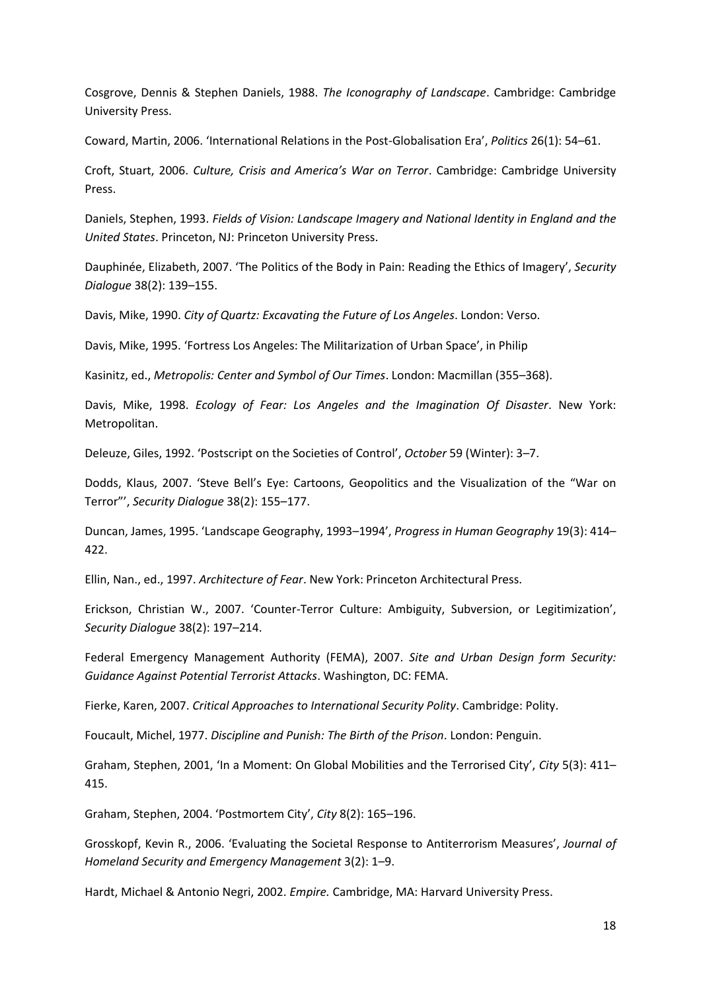Cosgrove, Dennis & Stephen Daniels, 1988. *The Iconography of Landscape*. Cambridge: Cambridge University Press.

Coward, Martin, 2006. 'International Relations in the Post-Globalisation Era', *Politics* 26(1): 54–61.

Croft, Stuart, 2006. *Culture, Crisis and America's War on Terror*. Cambridge: Cambridge University Press.

Daniels, Stephen, 1993. *Fields of Vision: Landscape Imagery and National Identity in England and the United States*. Princeton, NJ: Princeton University Press.

Dauphinée, Elizabeth, 2007. 'The Politics of the Body in Pain: Reading the Ethics of Imagery', *Security Dialogue* 38(2): 139–155.

Davis, Mike, 1990. *City of Quartz: Excavating the Future of Los Angeles*. London: Verso.

Davis, Mike, 1995. 'Fortress Los Angeles: The Militarization of Urban Space', in Philip

Kasinitz, ed., *Metropolis: Center and Symbol of Our Times*. London: Macmillan (355–368).

Davis, Mike, 1998. *Ecology of Fear: Los Angeles and the Imagination Of Disaster*. New York: Metropolitan.

Deleuze, Giles, 1992. 'Postscript on the Societies of Control', *October* 59 (Winter): 3–7.

Dodds, Klaus, 2007. 'Steve Bell's Eye: Cartoons, Geopolitics and the Visualization of the "War on Terror"', *Security Dialogue* 38(2): 155–177.

Duncan, James, 1995. 'Landscape Geography, 1993–1994', *Progress in Human Geography* 19(3): 414– 422.

Ellin, Nan., ed., 1997. *Architecture of Fear*. New York: Princeton Architectural Press.

Erickson, Christian W., 2007. 'Counter-Terror Culture: Ambiguity, Subversion, or Legitimization', *Security Dialogue* 38(2): 197–214.

Federal Emergency Management Authority (FEMA), 2007. *Site and Urban Design form Security: Guidance Against Potential Terrorist Attacks*. Washington, DC: FEMA.

Fierke, Karen, 2007. *Critical Approaches to International Security Polity*. Cambridge: Polity.

Foucault, Michel, 1977. *Discipline and Punish: The Birth of the Prison*. London: Penguin.

Graham, Stephen, 2001, 'In a Moment: On Global Mobilities and the Terrorised City', *City* 5(3): 411– 415.

Graham, Stephen, 2004. 'Postmortem City', *City* 8(2): 165–196.

Grosskopf, Kevin R., 2006. 'Evaluating the Societal Response to Antiterrorism Measures', *Journal of Homeland Security and Emergency Management* 3(2): 1–9.

Hardt, Michael & Antonio Negri, 2002. *Empire.* Cambridge, MA: Harvard University Press.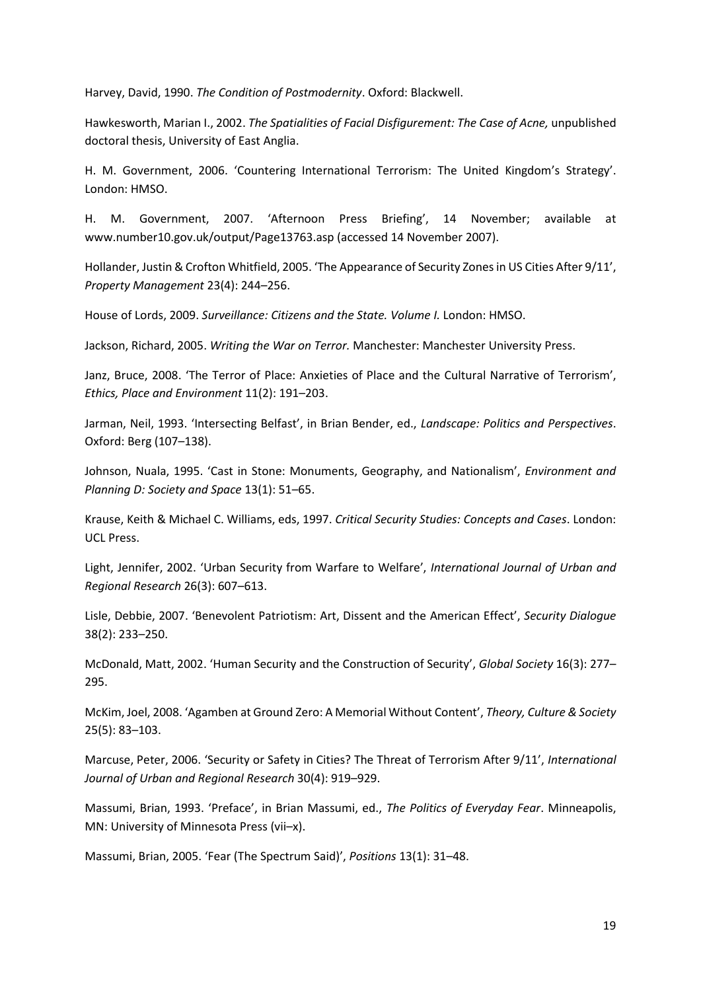Harvey, David, 1990. *The Condition of Postmodernity*. Oxford: Blackwell.

Hawkesworth, Marian I., 2002. *The Spatialities of Facial Disfigurement: The Case of Acne,* unpublished doctoral thesis, University of East Anglia.

H. M. Government, 2006. 'Countering International Terrorism: The United Kingdom's Strategy'. London: HMSO.

H. M. Government, 2007. 'Afternoon Press Briefing', 14 November; available at www.number10.gov.uk/output/Page13763.asp (accessed 14 November 2007).

Hollander, Justin & Crofton Whitfield, 2005. 'The Appearance of Security Zones in US Cities After 9/11', *Property Management* 23(4): 244–256.

House of Lords, 2009. *Surveillance: Citizens and the State. Volume I.* London: HMSO.

Jackson, Richard, 2005. *Writing the War on Terror.* Manchester: Manchester University Press.

Janz, Bruce, 2008. 'The Terror of Place: Anxieties of Place and the Cultural Narrative of Terrorism', *Ethics, Place and Environment* 11(2): 191–203.

Jarman, Neil, 1993. 'Intersecting Belfast', in Brian Bender, ed., *Landscape: Politics and Perspectives*. Oxford: Berg (107–138).

Johnson, Nuala, 1995. 'Cast in Stone: Monuments, Geography, and Nationalism', *Environment and Planning D: Society and Space* 13(1): 51–65.

Krause, Keith & Michael C. Williams, eds, 1997. *Critical Security Studies: Concepts and Cases*. London: UCL Press.

Light, Jennifer, 2002. 'Urban Security from Warfare to Welfare', *International Journal of Urban and Regional Research* 26(3): 607–613.

Lisle, Debbie, 2007. 'Benevolent Patriotism: Art, Dissent and the American Effect', *Security Dialogue*  38(2): 233–250.

McDonald, Matt, 2002. 'Human Security and the Construction of Security', *Global Society* 16(3): 277– 295.

McKim, Joel, 2008. 'Agamben at Ground Zero: A Memorial Without Content', *Theory, Culture & Society*  25(5): 83–103.

Marcuse, Peter, 2006. 'Security or Safety in Cities? The Threat of Terrorism After 9/11', *International Journal of Urban and Regional Research* 30(4): 919–929.

Massumi, Brian, 1993. 'Preface', in Brian Massumi, ed., *The Politics of Everyday Fear*. Minneapolis, MN: University of Minnesota Press (vii–x).

Massumi, Brian, 2005. 'Fear (The Spectrum Said)', *Positions* 13(1): 31–48.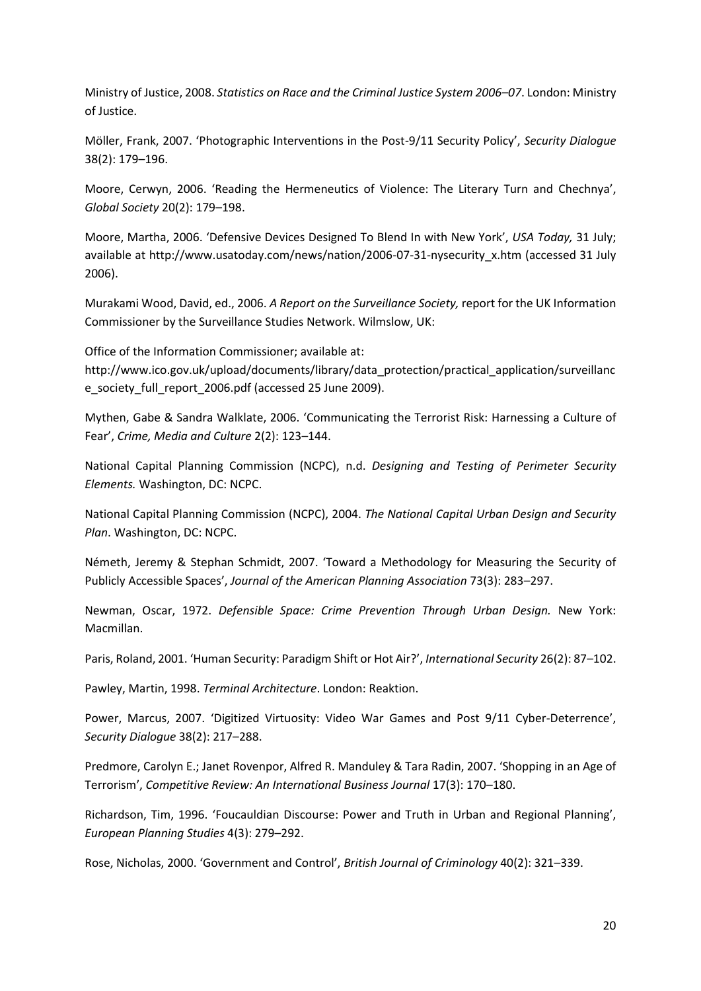Ministry of Justice, 2008. *Statistics on Race and the Criminal Justice System 2006–07*. London: Ministry of Justice.

Möller, Frank, 2007. 'Photographic Interventions in the Post-9/11 Security Policy', *Security Dialogue*  38(2): 179–196.

Moore, Cerwyn, 2006. 'Reading the Hermeneutics of Violence: The Literary Turn and Chechnya', *Global Society* 20(2): 179–198.

Moore, Martha, 2006. 'Defensive Devices Designed To Blend In with New York', *USA Today,* 31 July; available at http://www.usatoday.com/news/nation/2006-07-31-nysecurity\_x.htm (accessed 31 July 2006).

Murakami Wood, David, ed., 2006. *A Report on the Surveillance Society,* report for the UK Information Commissioner by the Surveillance Studies Network. Wilmslow, UK:

Office of the Information Commissioner; available at:

http://www.ico.gov.uk/upload/documents/library/data\_protection/practical\_application/surveillanc e\_society\_full\_report\_2006.pdf (accessed 25 June 2009).

Mythen, Gabe & Sandra Walklate, 2006. 'Communicating the Terrorist Risk: Harnessing a Culture of Fear', *Crime, Media and Culture* 2(2): 123–144.

National Capital Planning Commission (NCPC), n.d. *Designing and Testing of Perimeter Security Elements.* Washington, DC: NCPC.

National Capital Planning Commission (NCPC), 2004. *The National Capital Urban Design and Security Plan*. Washington, DC: NCPC.

Németh, Jeremy & Stephan Schmidt, 2007. 'Toward a Methodology for Measuring the Security of Publicly Accessible Spaces', *Journal of the American Planning Association* 73(3): 283–297.

Newman, Oscar, 1972. *Defensible Space: Crime Prevention Through Urban Design.* New York: Macmillan.

Paris, Roland, 2001. 'Human Security: Paradigm Shift or Hot Air?', *International Security* 26(2): 87–102.

Pawley, Martin, 1998. *Terminal Architecture*. London: Reaktion.

Power, Marcus, 2007. 'Digitized Virtuosity: Video War Games and Post 9/11 Cyber-Deterrence', *Security Dialogue* 38(2): 217–288.

Predmore, Carolyn E.; Janet Rovenpor, Alfred R. Manduley & Tara Radin, 2007. 'Shopping in an Age of Terrorism', *Competitive Review: An International Business Journal* 17(3): 170–180.

Richardson, Tim, 1996. 'Foucauldian Discourse: Power and Truth in Urban and Regional Planning', *European Planning Studies* 4(3): 279–292.

Rose, Nicholas, 2000. 'Government and Control', *British Journal of Criminology* 40(2): 321–339.